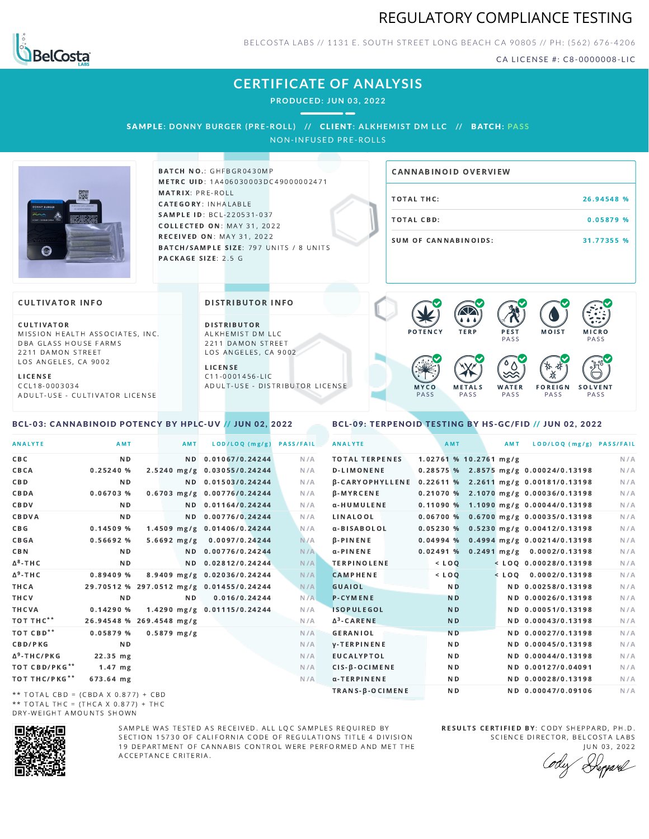



BELCOSTA LABS // 1131 E. SOUTH STREET LONG BEACH C A 90805 // PH: (562) 676-4206

CA LICENSE #: C8-0000008-LIC

## **CERTIFICATE OF ANALYSIS**

**PRODUCED: JUN 03, 2022**

SAMPLE: DONNY BURGER (PRE-ROLL) // CLIENT: ALKHEMIST DM LLC // BATCH: PASS

NON-INFUSED PRE-ROLLS



BATCH NO.: GHFBGR0430MP METRC UID: 1A406030003DC49000002471 MATRIX: PRE-ROLL CATEGORY: INHALABLE SAMPLE ID: BCL-220531-037 **COLLECTED ON: MAY 31, 2022 RECEIVED ON: MAY 31, 2022** BATCH/SAMPLE SIZE: 797 UNITS / 8 UNITS PACKAGE SIZE: 2.5 G

# TOTAL THC: 26.94548 % TOTAL CBD: 0.05879 % SUM OF CANNABINOIDS: 31.77355 % CANNABINOID OVERVIEW

### **CULTIVATOR INFO**

CULTIVATOR MISSION HEALTH ASSOCIATES, INC. DBA GLASS HOUSE FARMS 2211 DAMON STREET LOS ANGELES, CA 9002

L I C E N S E C C L 1 8 - 0 0 0 3 0 3 4 A D U L T - U S E - C U L T I V A T O R L I CENSE

<span id="page-0-0"></span>BCL-03: CANNABINOID POTENCY BY HPLC-UV // JUN 02, 2022

DISTRIBUTOR INFO

D I STRIBUTOR ALKHEMIST DM LLC 2211 DAMON STREET LOS ANGELES, CA 9002 L I C E N S E

 $C$  11-0001456-LIC A D U L T - U S E - D I STRIBUTOR LICENSE



### <span id="page-0-1"></span>BCL-09: TERPENOID TESTING BY HS-GC/FID // JUN 02, 2022

| <b>ANALYTE</b>                        | AMT                                      | AMT            | LOD/LOQ (mg/g)              | <b>PASS/FAIL</b> | <b>ANALYTE</b>        |  | AMT            |                          | AMT | LOD/LOQ (mg/g) PASS/FAIL                                     |     |
|---------------------------------------|------------------------------------------|----------------|-----------------------------|------------------|-----------------------|--|----------------|--------------------------|-----|--------------------------------------------------------------|-----|
| C B C                                 | N <sub>D</sub>                           |                | ND 0.01067/0.24244          | N/A              | <b>TOTAL TERPENES</b> |  |                | $1.02761$ % 10.2761 mg/g |     |                                                              | N/A |
| CBCA                                  | 0.25240%                                 |                | 2.5240 mg/g 0.03055/0.24244 | N/A              | <b>D-LIMONENE</b>     |  |                |                          |     | 0.28575 % 2.8575 mg/g 0.00024/0.13198                        | N/A |
| C B D                                 | ND.                                      |                | ND 0.01503/0.24244          | N/A              |                       |  |                |                          |     | $\beta$ -CARYOPHYLLENE 0.22611 % 2.2611 mg/g 0.00181/0.13198 | N/A |
| CBDA                                  | 0.06703%                                 |                | 0.6703 mg/g 0.00776/0.24244 | N/A              | <b>B-MYRCENE</b>      |  |                |                          |     | 0.21070 % 2.1070 mg/g 0.00036/0.13198                        | N/A |
| CBDV                                  | ND.                                      |                | ND 0.01164/0.24244          | N/A              | α-HUMULENE            |  |                |                          |     | $0.11090\%$ 1.1090 mg/g 0.00044/0.13198                      | N/A |
| CBDVA                                 | N <sub>D</sub>                           |                | ND 0.00776/0.24244          | N/A              | LINALOOL              |  |                |                          |     | $0.06700 %$ 0.6700 mg/g 0.00035/0.13198                      | N/A |
| C B G                                 | 0.14509%                                 |                | 1.4509 mg/g 0.01406/0.24244 | N/A              | α-BISABOLOL           |  |                |                          |     | $0.05230\%$ 0.5230 mg/g 0.00412/0.13198                      | N/A |
| CBGA                                  | 0.56692 %                                | $5.6692$ mg/g  | 0.0097/0.24244              | N/A              | <b>B-PINENE</b>       |  |                |                          |     | $0.04994$ % 0.4994 mg/g 0.00214/0.13198                      | N/A |
| C B N                                 | ND.                                      |                | ND 0.00776/0.24244          | N/A              | $\alpha$ -PINENE      |  |                |                          |     | 0.02491 % 0.2491 mg/g 0.0002/0.13198                         | N/A |
| ∆ <sup>8</sup> -THC                   | N D                                      |                | ND 0.02812/0.24244          | N/A              | <b>TERPINOLENE</b>    |  | $<$ LOO        |                          |     | $<$ LOO 0.00028/0.13198                                      | N/A |
| Δ <sup>9</sup> -ΤΗ C                  | 0.89409 %                                |                | 8.9409 mg/g 0.02036/0.24244 | N/A              | <b>CAMPHENE</b>       |  | $<$ LOQ        |                          |     | $<$ LOO 0.0002/0.13198                                       | N/A |
| ТНСА                                  | 29.70512 % 297.0512 mg/g 0.01455/0.24244 |                |                             | N/A              | GUAIOL                |  | N <sub>D</sub> |                          |     | ND 0.00258/0.13198                                           | N/A |
| THCV                                  | N <sub>D</sub>                           | N <sub>D</sub> | 0.016/0.24244               | N/A              | <b>P-CYMENE</b>       |  | <b>ND</b>      |                          |     | ND 0.00026/0.13198                                           | N/A |
| THCVA                                 | 0.14290%                                 |                | 1.4290 mg/g 0.01115/0.24244 | N/A              | <b>ISOPULEGOL</b>     |  | <b>ND</b>      |                          |     | ND 0.00051/0.13198                                           | N/A |
| тот тнс**                             | 26.94548 % 269.4548 mg/g                 |                |                             | N/A              | $\Delta^3$ -CARENE    |  | <b>ND</b>      |                          |     | ND 0.00043/0.13198                                           | N/A |
| тот свр**                             | 0.05879 %                                | $0.5879$ mg/g  |                             | N/A              | <b>GERANIOL</b>       |  | N <sub>D</sub> |                          |     | ND 0.00027/0.13198                                           | N/A |
| <b>CBD/PKG</b>                        | N <sub>D</sub>                           |                |                             | N/A              | <b>V-TERPINENE</b>    |  | N <sub>D</sub> |                          |     | ND 0.00045/0.13198                                           | N/A |
| Δ <sup>9</sup> -THC/PKG               | 22.35 mg                                 |                |                             | N/A              | <b>EUCALYPTOL</b>     |  | N <sub>D</sub> |                          |     | ND 0.00044/0.13198                                           | N/A |
| ТОТ СВD/РКG**                         | $1.47$ mg                                |                |                             | N/A              | CIS-B-OCIMENE         |  | N <sub>D</sub> |                          |     | ND 0.00127/0.04091                                           | N/A |
| ТОТ ТНС/РКG**                         | 673.64 mg                                |                |                             | N/A              | α-TERPINENE           |  | N <sub>D</sub> |                          |     | ND 0.00028/0.13198                                           | N/A |
| $**$ TOTAL CRD = (CRDA V 0.977) + CRD |                                          |                |                             |                  | TRANS-B-OCIMENE       |  | N <sub>D</sub> |                          |     | ND 0.00047/0.09106                                           | N/A |

\*\* TOTAL CBD = (CBDA X 0.877) + CBD \*\* TOTAL THC =  $(THCA \times 0.877) + THC$ DRY-WEIGHT AMOUNTS SHOWN



SAMPLE WAS TESTED AS RECEIVED. ALL LOC SAMPLES REQUIRED BY SECTION 15730 OF CALIFORNIA CODE OF REGULATIONS TITLE 4 DIVISION 19 DEPARTMENT OF CANNABIS CONTROL WERE PERFORMED AND MET THE A C C E P T A N C E C R I T E R I A.

RESULTS CERTIFIED BY: CODY SHEPPARD, PH.D. SCIENCE DIRECTOR, BELCOSTA LABS

JUN 03, 2022 Depard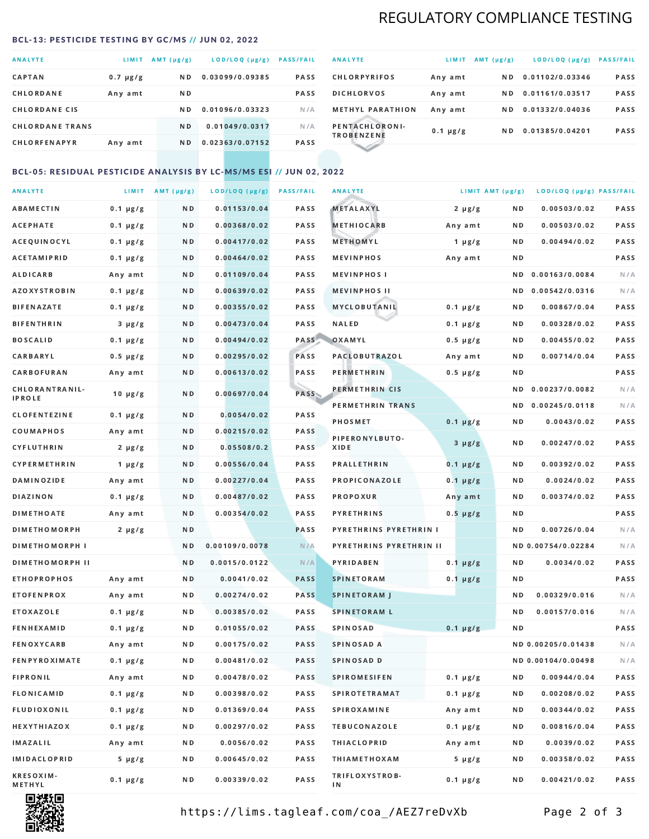## REGULATORY COMPLIANCE TESTING

### <span id="page-1-0"></span>BCL-13: PESTICIDE TESTING BY GC/MS // JUN 02, 2022

| <b>ANALYTE</b>         | <b>LIMIT</b>  | AMT (µg/g)     | LOD/LOQ (µg/g)  | <b>PASS/FAIL</b> |
|------------------------|---------------|----------------|-----------------|------------------|
| <b>CAPTAN</b>          | $0.7 \mu g/g$ | N <sub>D</sub> | 0.03099/0.09385 | <b>PASS</b>      |
| CHLORDANE              | Any amt       | N D            |                 | <b>PASS</b>      |
| <b>CHLORDANE CIS</b>   |               | N D            | 0.01096/0.03323 | N/A              |
| <b>CHLORDANE TRANS</b> |               | N <sub>D</sub> | 0.01049/0.0317  | N/A              |
| <b>CHLORFENAPYR</b>    | Any amt       | N D            | 0.02363/0.07152 | <b>PASS</b>      |

| <b>ANALYTE</b>                      | LIMIT         | $AMT(\mu g/g)$ | LOD/LOQ (µg/g)  | <b>PASS/FAIL</b> |
|-------------------------------------|---------------|----------------|-----------------|------------------|
| <b>CHLORPYRIFOS</b>                 | Any amt       | N D            | 0.01102/0.03346 | <b>PASS</b>      |
| <b>DICHLORVOS</b>                   | Any amt       | N D.           | 0.01161/0.03517 | PASS             |
| <b>METHYL PARATHION</b>             | Any amt       | ND.            | 0.01332/0.04036 | <b>PASS</b>      |
| PENTACHLORONI-<br><b>TROBENZENE</b> | $0.1 \mu g/g$ | ND.            | 0.01385/0.04201 | <b>PASS</b>      |
|                                     |               |                |                 |                  |

## BCL-05: RESIDUAL PESTICIDE ANALYSIS BY LC-MS/MS ESI // JUN 02, 2022

| <b>ANALYTE</b>             |               | LIMIT AMT $(\mu g/g)$ | LOD/LOQ (µg/g) | <b>PASS/FAIL</b> | <b>ANALYTE</b>          | LIMIT AMT $(\mu g/g)$ |     | LOD/LOQ (µg/g) PASS/FAIL |      |
|----------------------------|---------------|-----------------------|----------------|------------------|-------------------------|-----------------------|-----|--------------------------|------|
| ABAMECTIN                  | $0.1 \mu g/g$ | N D                   | 0.01153/0.04   | PASS             | <b>METALAXYL</b>        | $2 \mu g/g$           | N D | 0.00503/0.02             | PASS |
| АСЕРНАТЕ                   | $0.1 \mu g/g$ | N D                   | 0.00368/0.02   | <b>PASS</b>      | <b>METHIOCARB</b>       | Any amt               | N D | 0.00503/0.02             | PASS |
| ACEQUINOCYL                | $0.1 \mu g/g$ | N D                   | 0.00417/0.02   | PASS             | METHOMYL                | 1 $\mu$ g/g           | N D | 0.00494/0.02             | PASS |
| <b>ACETAMIPRID</b>         | $0.1 \mu g/g$ | N D                   | 0.00464/0.02   | PASS             | <b>MEVINPHOS</b>        | Any amt               | ND. |                          | PASS |
| ALDICARB                   | Any amt       | N D                   | 0.01109/0.04   | <b>PASS</b>      | <b>MEVINPHOS I</b>      |                       | ND. | 0.00163/0.0084           | N/A  |
| <b>AZOXYSTROBIN</b>        | $0.1 \mu g/g$ | N D                   | 0.00639/0.02   | <b>PASS</b>      | <b>MEVINPHOS II</b>     |                       | N D | 0.00542/0.0316           | N/A  |
| BIFENAZATE                 | $0.1 \mu g/g$ | N D                   | 0.00355/0.02   | PASS             | MYCLOBUTANIL            | $0.1 \mu g/g$         | N D | 0.00867/0.04             | PASS |
| <b>BIFENTHRIN</b>          | $3 \mu g/g$   | N D                   | 0.00473/0.04   | PASS             | <b>NALED</b>            | $0.1 \mu g/g$         | N D | 0.00328/0.02             | PASS |
| <b>BOSCALID</b>            | $0.1 \mu g/g$ | N D                   | 0.00494/0.02   | PASS             | OXAMYL                  | $0.5 \mu g/g$         | ND  | 0.00455/0.02             | PASS |
| CARBARYL                   | $0.5 \mu g/g$ | N D                   | 0.00295/0.02   | PASS             | <b>PACLOBUTRAZOL</b>    | Any amt               | N D | 0.00714/0.04             | PASS |
| CARBOFURAN                 | Any amt       | N D                   | 0.00613/0.02   | PASS             | PERMETHRIN              | $0.5 \mu g/g$         | N D |                          | PASS |
| CHLORANTRANIL-             | $10 \mu g/g$  | N D                   | 0.00697/0.04   | PASS             | PERMETHRIN CIS          |                       | ND. | 0.00237/0.0082           | N/A  |
| <b>IPROLE</b>              |               |                       |                |                  | PERMETHRIN TRANS        |                       |     | ND 0.00245/0.0118        | N/A  |
| <b>CLOFENTEZINE</b>        | $0.1 \mu g/g$ | N D                   | 0.0054/0.02    | PASS             | <b>PHOSMET</b>          | $0.1 \mu g/g$         | N D | 0.0043/0.02              | PASS |
| COUMAPHOS                  | Any amt       | N D                   | 0.00215/0.02   | <b>PASS</b>      | PIPERONYLBUTO-          | $3 \mu g/g$           | N D | 0.00247/0.02             | PASS |
| CYFLUTHRIN                 | $2 \mu g/g$   | N D                   | 0.05508/0.2    | <b>PASS</b>      | XIDE                    |                       |     |                          |      |
| <b>CYPERMETHRIN</b>        | $1 \mu g/g$   | N D                   | 0.00556/0.04   | PASS             | <b>PRALLETHRIN</b>      | $0.1 \mu g/g$         | N D | 0.00392/0.02             | PASS |
| <b>DAMINOZIDE</b>          | Any amt       | N D                   | 0.00227/0.04   | PASS             | PROPICONAZOLE           | $0.1 \mu g/g$         | N D | 0.0024/0.02              | PASS |
| <b>DIAZINON</b>            | $0.1 \mu g/g$ | N D                   | 0.00487/0.02   | PASS             | <b>PROPOXUR</b>         | Any amt               | N D | 0.00374/0.02             | PASS |
| <b>DIMETHOATE</b>          | Any amt       | N D                   | 0.00354/0.02   | <b>PASS</b>      | <b>PYRETHRINS</b>       | $0.5 \mu g/g$         | N D |                          | PASS |
| <b>DIMETHOMORPH</b>        | $2 \mu g/g$   | N D                   |                | <b>PASS</b>      | PYRETHRINS PYRETHRIN I  |                       | N D | 0.00726/0.04             | N/A  |
| <b>DIMETHOMORPH I</b>      |               | N D                   | 0.00109/0.0078 | N/A              | PYRETHRINS PYRETHRIN II |                       |     | ND 0.00754/0.02284       | N/A  |
| <b>DIMETHOMORPH II</b>     |               | ND.                   | 0.0015/0.0122  | N/A              | PYRIDABEN               | $0.1 \mu g/g$         | N D | 0.0034/0.02              | PASS |
| <b>ETHOPROPHOS</b>         | Any amt       | N D                   | 0.0041/0.02    | <b>PASS</b>      | <b>SPINETORAM</b>       | $0.1 \mu g/g$         | N D |                          | PASS |
| <b>ETOFENPROX</b>          | Any amt       | N D                   | 0.00274/0.02   | <b>PASS</b>      | <b>SPINETORAM J</b>     |                       | N D | 0.00329/0.016            | N/A  |
| ETOXAZOLE                  | $0.1 \mu g/g$ | N D                   | 0.00385/0.02   | PASS             | <b>SPINETORAM L</b>     |                       | ND. | 0.00157/0.016            | N/A  |
| <b>FENHEXAMID</b>          | $0.1 \mu g/g$ | N D                   | 0.01055/0.02   | <b>PASS</b>      | <b>SPINOSAD</b>         | $0.1 \mu g/g$         | N D |                          | PASS |
| FENOXYCARB                 | Any amt       | N D                   | 0.00175/0.02   | <b>PASS</b>      | SPINOSAD A              |                       |     | ND 0.00205/0.01438       | N/A  |
| <b>FENPYROXIMATE</b>       | $0.1 \mu g/g$ | N D                   | 0.00481/0.02   | PASS             | SPINOSAD D              |                       |     | ND 0.00104/0.00498       | N/A  |
| <b>FIPRONIL</b>            | Any amt       | N D                   | 0.00478/0.02   | PASS             | <b>SPIROMESIFEN</b>     | $0.1 \mu g/g$         | ND. | 0.00944/0.04             | PASS |
| FLONICAMID                 | $0.1 \mu g/g$ | N D                   | 0.00398/0.02   | PASS             | <b>SPIROTETRAMAT</b>    | $0.1 \mu g/g$         | N D | 0.00208/0.02             | PASS |
| FLUDIOXONIL                | $0.1 \mu g/g$ | N D                   | 0.01369/0.04   | PASS             | <b>SPIROXAMINE</b>      | Any amt               | N D | 0.00344/0.02             | PASS |
| <b>HEXYTHIAZOX</b>         | $0.1 \mu g/g$ | N D                   | 0.00297/0.02   | PASS             | <b>TEBUCONAZOLE</b>     | $0.1 \mu g/g$         | N D | 0.00816/0.04             | PASS |
| <b>IMAZALIL</b>            | Any amt       | N D                   | 0.0056/0.02    | PASS             | <b>THIACLOPRID</b>      | Any amt               | N D | 0.0039/0.02              | PASS |
| <b>IMIDACLOPRID</b>        | $5 \mu g/g$   | N D                   | 0.00645/0.02   | PASS             | <b>THIAMETHOXAM</b>     | $5 \mu g/g$           | N D | 0.00358/0.02             | PASS |
| <b>KRESOXIM-</b><br>METHYL | $0.1 \mu g/g$ | N D                   | 0.00339/0.02   | PASS             | TRIFLOXYSTROB-<br>ΙN    | $0.1 \mu g/g$         | N D | 0.00421/0.02             | PASS |